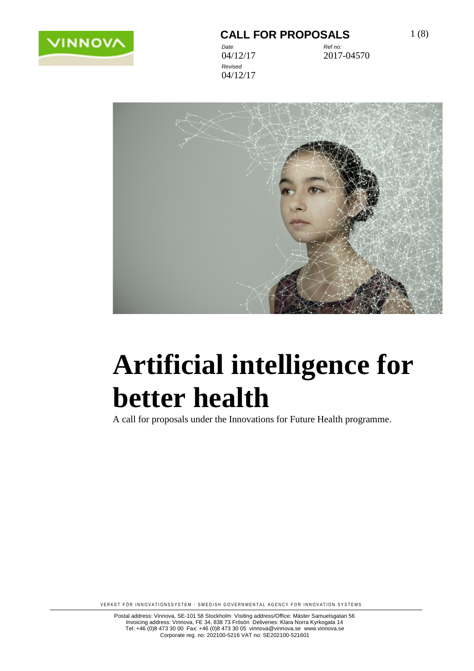

#### **CALL FOR PROPOSALS** 1(8)

*Revised* 04/12/17

*Date Ref no:* 04/12/17 2017-04570



# **Artificial intelligence for better health**

A call for proposals under the Innovations for Future Health programme.

VERKET FÖR INNOVATIONSSYSTEM - SWEDISH GOVERNMENTAL AGENCY FOR INNOVATION SYSTEMS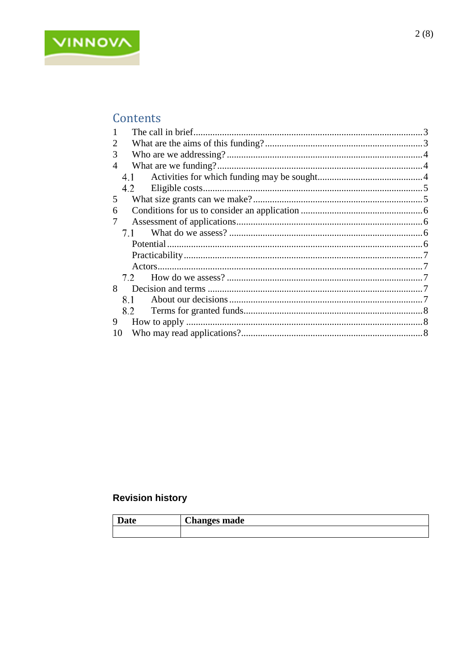

### Contents

|    | The call in brief. |  |  |
|----|--------------------|--|--|
| 2  |                    |  |  |
| 3  |                    |  |  |
| 4  |                    |  |  |
|    | 4.1                |  |  |
|    | 4.2                |  |  |
| 5  |                    |  |  |
| 6  |                    |  |  |
|    |                    |  |  |
|    | 7.1                |  |  |
|    |                    |  |  |
|    |                    |  |  |
|    |                    |  |  |
|    |                    |  |  |
| 8  |                    |  |  |
|    | 8.1                |  |  |
|    | 8.2                |  |  |
| 9  |                    |  |  |
| 10 |                    |  |  |
|    |                    |  |  |

### **Revision history**

| lata | Л1           |
|------|--------------|
| Dale | Changes made |
|      |              |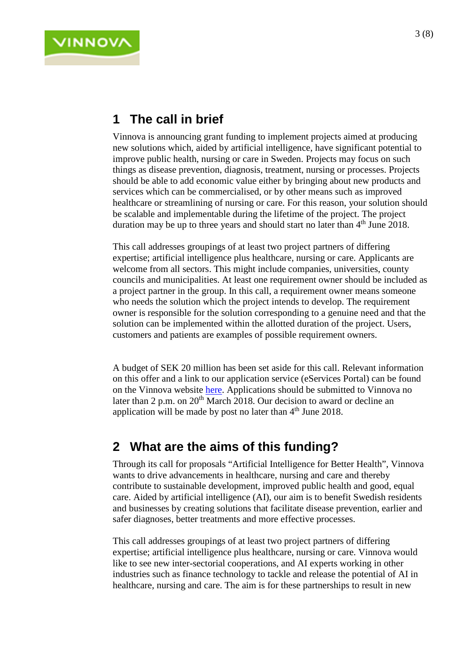# <span id="page-2-0"></span>**1 The call in brief**

**VINNOV** 

Vinnova is announcing grant funding to implement projects aimed at producing new solutions which, aided by artificial intelligence, have significant potential to improve public health, nursing or care in Sweden. Projects may focus on such things as disease prevention, diagnosis, treatment, nursing or processes. Projects should be able to add economic value either by bringing about new products and services which can be commercialised, or by other means such as improved healthcare or streamlining of nursing or care. For this reason, your solution should be scalable and implementable during the lifetime of the project. The project duration may be up to three years and should start no later than  $4<sup>th</sup>$  June 2018.

This call addresses groupings of at least two project partners of differing expertise; artificial intelligence plus healthcare, nursing or care. Applicants are welcome from all sectors. This might include companies, universities, county councils and municipalities. At least one requirement owner should be included as a project partner in the group. In this call, a requirement owner means someone who needs the solution which the project intends to develop. The requirement owner is responsible for the solution corresponding to a genuine need and that the solution can be implemented within the allotted duration of the project. Users, customers and patients are examples of possible requirement owners.

A budget of SEK 20 million has been set aside for this call. Relevant information on this offer and a link to our application service (eServices Portal) can be found on the Vinnova website [here.](https://www.vinnova.se/e/digital-halsa/artificiell-intelligens-for-battre-halsa-2018/) Applications should be submitted to Vinnova no later than 2 p.m. on 20<sup>th</sup> March 2018. Our decision to award or decline an application will be made by post no later than  $4<sup>th</sup>$  June 2018.

### <span id="page-2-1"></span>**2 What are the aims of this funding?**

Through its call for proposals "Artificial Intelligence for Better Health", Vinnova wants to drive advancements in healthcare, nursing and care and thereby contribute to sustainable development, improved public health and good, equal care. Aided by artificial intelligence (AI), our aim is to benefit Swedish residents and businesses by creating solutions that facilitate disease prevention, earlier and safer diagnoses, better treatments and more effective processes.

This call addresses groupings of at least two project partners of differing expertise; artificial intelligence plus healthcare, nursing or care. Vinnova would like to see new inter-sectorial cooperations, and AI experts working in other industries such as finance technology to tackle and release the potential of AI in healthcare, nursing and care. The aim is for these partnerships to result in new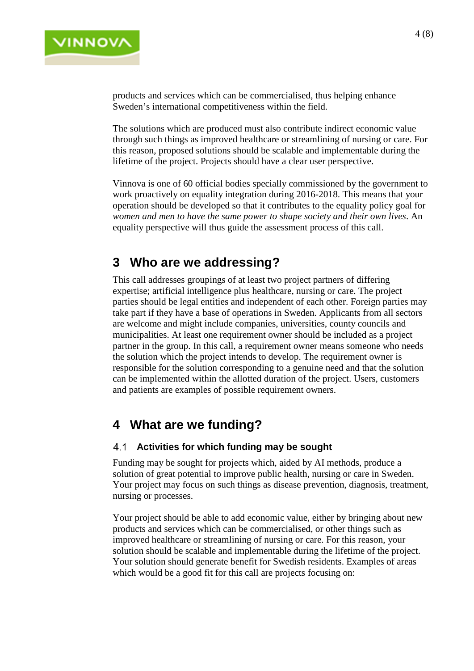

products and services which can be commercialised, thus helping enhance Sweden's international competitiveness within the field.

The solutions which are produced must also contribute indirect economic value through such things as improved healthcare or streamlining of nursing or care. For this reason, proposed solutions should be scalable and implementable during the lifetime of the project. Projects should have a clear user perspective.

Vinnova is one of 60 official bodies specially commissioned by the government to work proactively on equality integration during 2016-2018. This means that your operation should be developed so that it contributes to the equality policy goal for *women and men to have the same power to shape society and their own lives*. An equality perspective will thus guide the assessment process of this call.

### <span id="page-3-0"></span>**3 Who are we addressing?**

This call addresses groupings of at least two project partners of differing expertise; artificial intelligence plus healthcare, nursing or care. The project parties should be legal entities and independent of each other. Foreign parties may take part if they have a base of operations in Sweden. Applicants from all sectors are welcome and might include companies, universities, county councils and municipalities. At least one requirement owner should be included as a project partner in the group. In this call, a requirement owner means someone who needs the solution which the project intends to develop. The requirement owner is responsible for the solution corresponding to a genuine need and that the solution can be implemented within the allotted duration of the project. Users, customers and patients are examples of possible requirement owners.

### <span id="page-3-1"></span>**4 What are we funding?**

#### <span id="page-3-2"></span>**Activities for which funding may be sought**

Funding may be sought for projects which, aided by AI methods, produce a solution of great potential to improve public health, nursing or care in Sweden. Your project may focus on such things as disease prevention, diagnosis, treatment, nursing or processes.

Your project should be able to add economic value, either by bringing about new products and services which can be commercialised, or other things such as improved healthcare or streamlining of nursing or care. For this reason, your solution should be scalable and implementable during the lifetime of the project. Your solution should generate benefit for Swedish residents. Examples of areas which would be a good fit for this call are projects focusing on: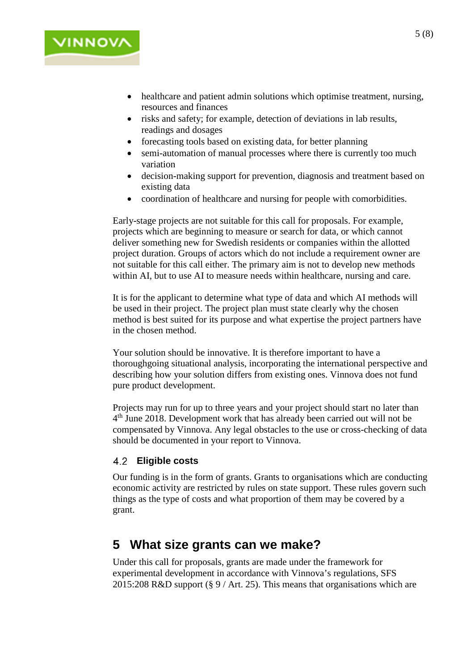

- healthcare and patient admin solutions which optimise treatment, nursing, resources and finances
- risks and safety; for example, detection of deviations in lab results, readings and dosages
- forecasting tools based on existing data, for better planning
- semi-automation of manual processes where there is currently too much variation
- decision-making support for prevention, diagnosis and treatment based on existing data
- coordination of healthcare and nursing for people with comorbidities.

Early-stage projects are not suitable for this call for proposals. For example, projects which are beginning to measure or search for data, or which cannot deliver something new for Swedish residents or companies within the allotted project duration. Groups of actors which do not include a requirement owner are not suitable for this call either. The primary aim is not to develop new methods within AI, but to use AI to measure needs within healthcare, nursing and care.

It is for the applicant to determine what type of data and which AI methods will be used in their project. The project plan must state clearly why the chosen method is best suited for its purpose and what expertise the project partners have in the chosen method.

Your solution should be innovative. It is therefore important to have a thoroughgoing situational analysis, incorporating the international perspective and describing how your solution differs from existing ones. Vinnova does not fund pure product development.

Projects may run for up to three years and your project should start no later than 4th June 2018. Development work that has already been carried out will not be compensated by Vinnova. Any legal obstacles to the use or cross-checking of data should be documented in your report to Vinnova.

#### <span id="page-4-0"></span>**Eligible costs** 4.2

Our funding is in the form of grants. Grants to organisations which are conducting economic activity are restricted by rules on state support. These rules govern such things as the type of costs and what proportion of them may be covered by a grant.

### <span id="page-4-1"></span>**5 What size grants can we make?**

Under this call for proposals, grants are made under the framework for experimental development in accordance with Vinnova's regulations, SFS 2015:208 R&D support (§ 9 / Art. 25). This means that organisations which are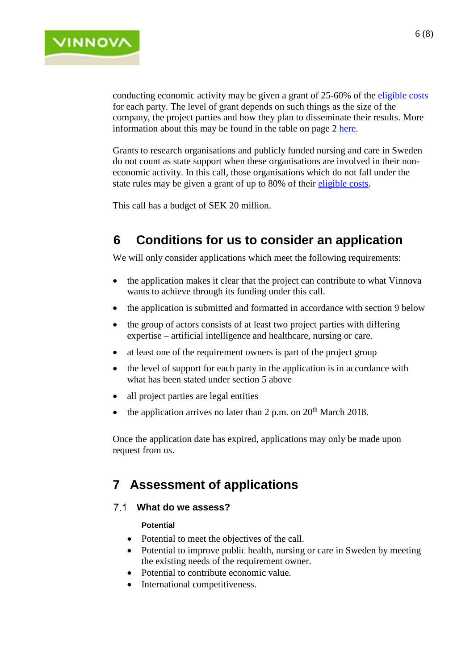

conducting economic activity may be given a grant of 25-60% of the [eligible costs](https://www.vinnova.se/globalassets/dokument/guide-till-vinnovas-villkor-om-stodberattigande-kostnader-2017-04-21-master.pdf) for each party. The level of grant depends on such things as the size of the company, the project parties and how they plan to disseminate their results. More information about this may be found in the table on page 2 [here.](https://www.vinnova.se/globalassets/dokument/tabell-stodnivaer-statligt-stod.pdf)

Grants to research organisations and publicly funded nursing and care in Sweden do not count as state support when these organisations are involved in their noneconomic activity. In this call, those organisations which do not fall under the state rules may be given a grant of up to 80% of their [eligible costs.](https://www.vinnova.se/globalassets/dokument/guide-till-vinnovas-villkor-om-stodberattigande-kostnader-2017-04-21-master.pdf)

This call has a budget of SEK 20 million.

## <span id="page-5-0"></span>**6 Conditions for us to consider an application**

We will only consider applications which meet the following requirements:

- the application makes it clear that the project can contribute to what Vinnova wants to achieve through its funding under this call.
- the application is submitted and formatted in accordance with section 9 below
- the group of actors consists of at least two project parties with differing expertise – artificial intelligence and healthcare, nursing or care.
- at least one of the requirement owners is part of the project group
- the level of support for each party in the application is in accordance with what has been stated under section 5 above
- all project parties are legal entities
- the application arrives no later than  $2 p.m.$  on  $20<sup>th</sup>$  March 2018.

Once the application date has expired, applications may only be made upon request from us.

### <span id="page-5-1"></span>**7 Assessment of applications**

#### <span id="page-5-3"></span><span id="page-5-2"></span>**What do we assess?**

#### **Potential**

- Potential to meet the objectives of the call.
- Potential to improve public health, nursing or care in Sweden by meeting the existing needs of the requirement owner.
- Potential to contribute economic value.
- International competitiveness.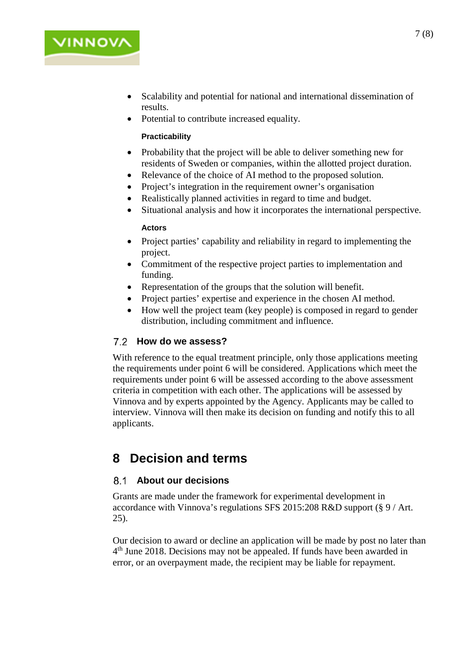

<span id="page-6-0"></span>• Potential to contribute increased equality.

#### **Practicability**

VINNOV

- Probability that the project will be able to deliver something new for residents of Sweden or companies, within the allotted project duration.
- Relevance of the choice of AI method to the proposed solution.
- Project's integration in the requirement owner's organisation
- Realistically planned activities in regard to time and budget.
- <span id="page-6-1"></span>• Situational analysis and how it incorporates the international perspective.

#### **Actors**

- Project parties' capability and reliability in regard to implementing the project.
- Commitment of the respective project parties to implementation and funding.
- Representation of the groups that the solution will benefit.
- Project parties' expertise and experience in the chosen AI method.
- How well the project team (key people) is composed in regard to gender distribution, including commitment and influence.

#### <span id="page-6-2"></span>**How do we assess?**

With reference to the equal treatment principle, only those applications meeting the requirements under point 6 will be considered. Applications which meet the requirements under point 6 will be assessed according to the above assessment criteria in competition with each other. The applications will be assessed by Vinnova and by experts appointed by the Agency. Applicants may be called to interview. Vinnova will then make its decision on funding and notify this to all applicants.

### <span id="page-6-3"></span>**8 Decision and terms**

#### <span id="page-6-4"></span>**About our decisions**

Grants are made under the framework for experimental development in accordance with Vinnova's regulations SFS 2015:208 R&D support (§ 9 / Art. 25).

Our decision to award or decline an application will be made by post no later than 4<sup>th</sup> June 2018. Decisions may not be appealed. If funds have been awarded in error, or an overpayment made, the recipient may be liable for repayment.